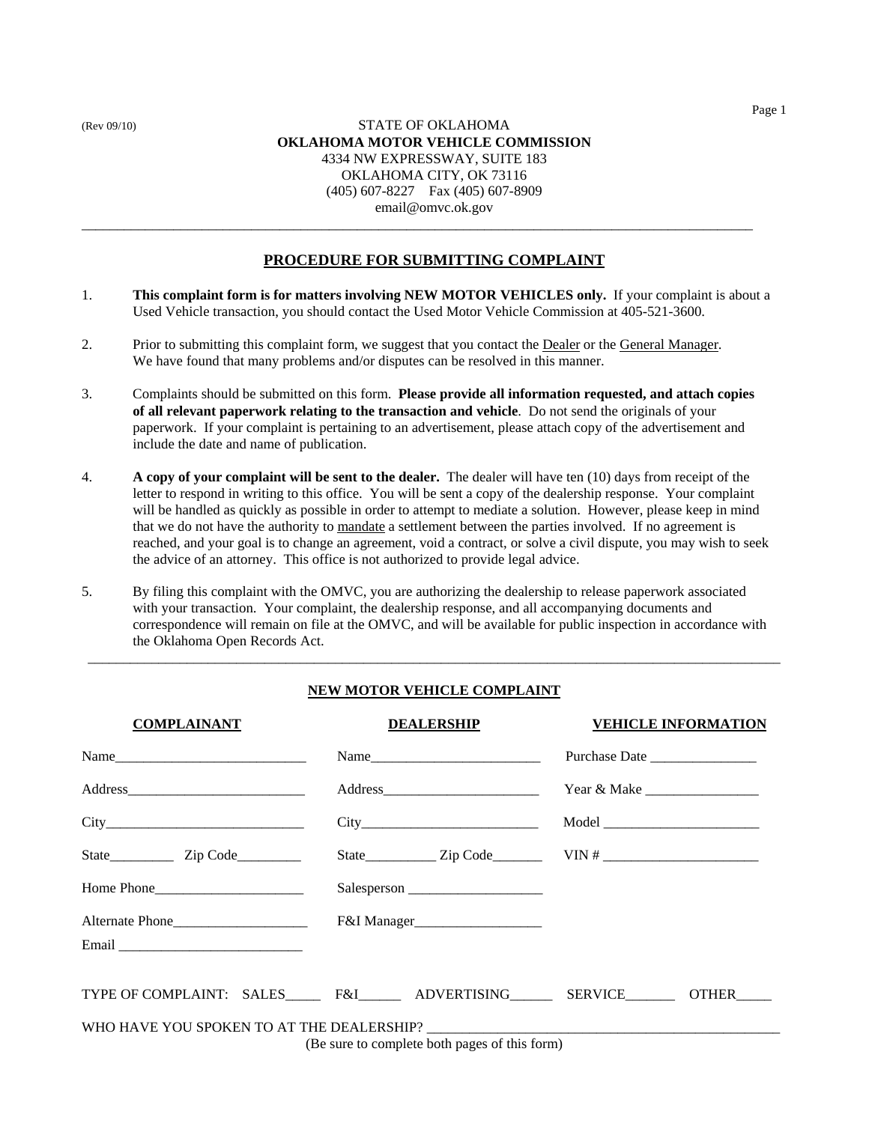## (Rev 09/10) STATE OF OKLAHOMA **OKLAHOMA MOTOR VEHICLE COMMISSION** 4334 NW EXPRESSWAY, SUITE 183 OKLAHOMA CITY, OK 73116 (405) 607-8227 Fax (405) 607-8909 email@omvc.ok.gov \_\_\_\_\_\_\_\_\_\_\_\_\_\_\_\_\_\_\_\_\_\_\_\_\_\_\_\_\_\_\_\_\_\_\_\_\_\_\_\_\_\_\_\_\_\_\_\_\_\_\_\_\_\_\_\_\_\_\_\_\_\_\_\_\_\_\_\_\_\_\_\_\_\_\_\_\_\_\_\_\_\_\_\_\_\_\_\_\_\_\_\_\_\_\_

## **PROCEDURE FOR SUBMITTING COMPLAINT**

- 1. **This complaint form is for matters involving NEW MOTOR VEHICLES only.** If your complaint is about a Used Vehicle transaction, you should contact the Used Motor Vehicle Commission at 405-521-3600.
- 2. Prior to submitting this complaint form, we suggest that you contact the <u>Dealer</u> or the General Manager. We have found that many problems and/or disputes can be resolved in this manner.
- 3. Complaints should be submitted on this form. **Please provide all information requested, and attach copies of all relevant paperwork relating to the transaction and vehicle**. Do not send the originals of your paperwork. If your complaint is pertaining to an advertisement, please attach copy of the advertisement and include the date and name of publication.
- 4. **A copy of your complaint will be sent to the dealer.** The dealer will have ten (10) days from receipt of the letter to respond in writing to this office. You will be sent a copy of the dealership response. Your complaint will be handled as quickly as possible in order to attempt to mediate a solution. However, please keep in mind that we do not have the authority to mandate a settlement between the parties involved. If no agreement is reached, and your goal is to change an agreement, void a contract, or solve a civil dispute, you may wish to seek the advice of an attorney. This office is not authorized to provide legal advice.
- 5. By filing this complaint with the OMVC, you are authorizing the dealership to release paperwork associated with your transaction. Your complaint, the dealership response, and all accompanying documents and correspondence will remain on file at the OMVC, and will be available for public inspection in accordance with the Oklahoma Open Records Act.

## **NEW MOTOR VEHICLE COMPLAINT**

\_\_\_\_\_\_\_\_\_\_\_\_\_\_\_\_\_\_\_\_\_\_\_\_\_\_\_\_\_\_\_\_\_\_\_\_\_\_\_\_\_\_\_\_\_\_\_\_\_\_\_\_\_\_\_\_\_\_\_\_\_\_\_\_\_\_\_\_\_\_\_\_\_\_\_\_\_\_\_\_\_\_\_\_\_\_\_\_\_\_\_\_\_\_\_\_\_\_

| <b>COMPLAINANT</b>                                     | <b>DEALERSHIP</b> | <b>VEHICLE INFORMATION</b> |  |  |
|--------------------------------------------------------|-------------------|----------------------------|--|--|
| $Name_$                                                |                   |                            |  |  |
|                                                        |                   |                            |  |  |
|                                                        |                   |                            |  |  |
|                                                        |                   |                            |  |  |
| Home Phone                                             |                   |                            |  |  |
|                                                        |                   |                            |  |  |
|                                                        |                   |                            |  |  |
| TYPE OF COMPLAINT: SALES F&I ADVERTISING SERVICE OTHER |                   |                            |  |  |
|                                                        |                   |                            |  |  |
| (Be sure to complete both pages of this form)          |                   |                            |  |  |